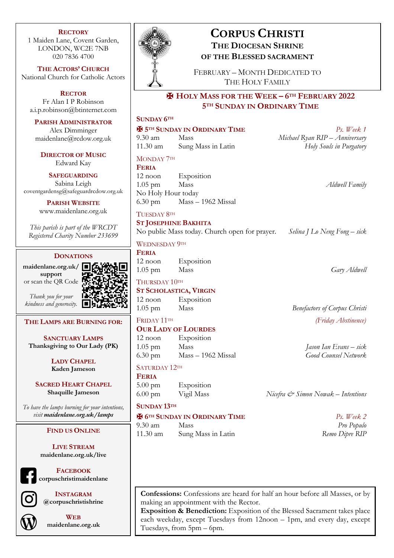#### **RECTORY**

1 Maiden Lane, Covent Garden, LONDON, WC2E 7NB 020 7836 4700

**THE ACTORS' CHURCH** National Church for Catholic Actors

**RECTOR** Fr Alan I P Robinson a.i.p.robinson@btinternet.com

**PARISH ADMINISTRATOR** Alex Dimminger

maidenlane@rcdow.org.uk

**DIRECTOR OF MUSIC** Edward Kay

**SAFEGUARDING** Sabina Leigh coventgardensg@safeguardrcdow.org.uk

> **PARISH WEBSITE** www.maidenlane.org.uk

*This parish is part of the WRCDT Registered Charity Number 233699*

#### **DONATIONS**

**maidenlane.org.uk/ support** or scan the QR Code

*Thank you for your* 



# *kindness and generosity.*

**SANCTUARY LAMPS Thanksgiving to Our Lady (PK)**

**THE LAMPS ARE BURNING FOR:**

**LADY CHAPEL Kaden Jameson**

**SACRED HEART CHAPEL Shaquille Jameson**

*To have the lamps burning for your intentions, visit maidenlane.org.uk/lamps*

### **FIND US ONLINE**

**LIVE STREAM maidenlane.org.uk/live**

**FACEBOOK corpuschristimaidenlane**



**INSTAGRAM @corpuschristishrine**



**WEB maidenlane.org.uk**



# **CORPUS CHRISTI THE DIOCESAN SHRINE OF THE BLESSED SACRAMENT**

FEBRUARY – MONTH DEDICATED TO THE HOLY FAMILY

## ✠ **HOLY MASS FOR THE WEEK – 6TH FEBRUARY 2022 5TH SUNDAY IN ORDINARY TIME**

| <b>SUNDAY 6TH</b>                    |                                               |                                               |
|--------------------------------------|-----------------------------------------------|-----------------------------------------------|
|                                      | <b>E 5TH SUNDAY IN ORDINARY TIME</b>          | Ps. Week 1                                    |
| $9.30 \text{ am}$                    | Mass                                          | Michael Ryan RIP - Anniversary                |
| 11.30 am                             | Sung Mass in Latin                            | Holy Souls in Purgatory                       |
| MONDAY 7TH<br><b>FERIA</b>           |                                               |                                               |
| 12 noon                              | Exposition                                    |                                               |
| $1.05$ pm                            | Mass                                          | Aldwell Family                                |
| No Holy Hour today                   |                                               |                                               |
| $6.30 \text{ pm}$                    | Mass – 1962 Missal                            |                                               |
| TUESDAY 8TH                          |                                               |                                               |
| <b>ST JOSEPHINE BAKHITA</b>          |                                               |                                               |
|                                      | No public Mass today. Church open for prayer. | Selina J Lo Neng Fong – sick                  |
| <b>WEDNESDAY 9TH</b>                 |                                               |                                               |
| <b>FERIA</b>                         |                                               |                                               |
| $12$ noon<br>$1.05$ pm               | Exposition<br>Mass                            | Gary Aldwell                                  |
|                                      |                                               |                                               |
| THURSDAY 10TH                        |                                               |                                               |
| $12$ noon                            | <b>ST SCHOLASTICA, VIRGIN</b><br>Exposition   |                                               |
| $1.05$ pm                            | Mass                                          | <b>Benefactors of Corpus Christi</b>          |
|                                      |                                               |                                               |
| FRIDAY 11TH                          | <b>OUR LADY OF LOURDES</b>                    | (Friday Abstinence)                           |
| 12 noon                              | Exposition                                    |                                               |
| $1.05$ pm                            | Mass                                          | Jason Ian Evans – sick                        |
| $6.30 \text{ pm}$                    | Mass – 1962 Missal                            | <b>Good Counsel Network</b>                   |
| SATURDAY 12TH                        |                                               |                                               |
| <b>FERIA</b>                         |                                               |                                               |
| $5.00 \text{ pm}$                    | Exposition                                    |                                               |
| $6.00 \text{ pm}$                    | Vigil Mass                                    | Nicefra $\mathcal O$ Simon Nowak – Intentions |
| <b>SUNDAY 13TH</b>                   |                                               |                                               |
| <b>H</b> 6TH SUNDAY IN ORDINARY TIME |                                               | Ps. Week 2                                    |

9.30 am Mass *Pro Populo* 11.30 am Sung Mass in Latin *Remo Dipre RIP*

**Confessions:** Confessions are heard for half an hour before all Masses, or by making an appointment with the Rector.

**Exposition & Benediction:** Exposition of the Blessed Sacrament takes place each weekday, except Tuesdays from 12noon – 1pm, and every day, except Tuesdays, from 5pm – 6pm.